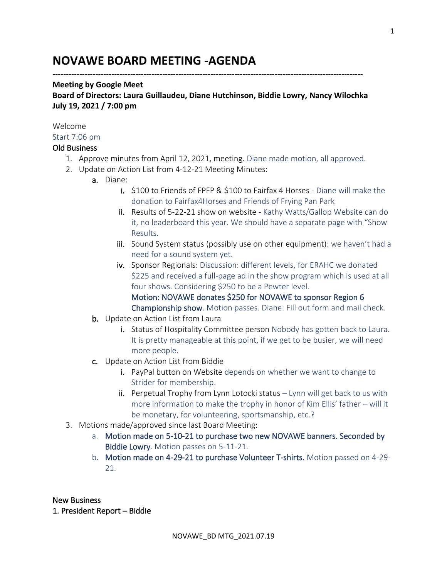# **NOVAWE BOARD MEETING -AGENDA**

#### **--------------------------------------------------------------------------------------------------------------------**

#### **Meeting by Google Meet**

**Board of Directors: Laura Guillaudeu, Diane Hutchinson, Biddie Lowry, Nancy Wilochka July 19, 2021 / 7:00 pm**

#### Welcome

Start 7:06 pm

#### Old Business

- 1. Approve minutes from April 12, 2021, meeting. Diane made motion, all approved.
- 2. Update on Action List from 4-12-21 Meeting Minutes:
	- a. Diane:
		- i. \$100 to Friends of FPFP & \$100 to Fairfax 4 Horses Diane will make the donation to Fairfax4Horses and Friends of Frying Pan Park
		- ii. Results of 5-22-21 show on website Kathy Watts/Gallop Website can do it, no leaderboard this year. We should have a separate page with "Show Results.
		- iii. Sound System status (possibly use on other equipment): we haven't had a need for a sound system yet.
		- iv. Sponsor Regionals: Discussion: different levels, for ERAHC we donated \$225 and received a full-page ad in the show program which is used at all four shows. Considering \$250 to be a Pewter level. Motion: NOVAWE donates \$250 for NOVAWE to sponsor Region 6 Championship show. Motion passes. Diane: Fill out form and mail check.
	- **b.** Update on Action List from Laura
		- i. Status of Hospitality Committee person Nobody has gotten back to Laura. It is pretty manageable at this point, if we get to be busier, we will need more people.
	- c. Update on Action List from Biddie
		- i. PayPal button on Website depends on whether we want to change to Strider for membership.
		- $ii.$  Perpetual Trophy from Lynn Lotocki status Lynn will get back to us with more information to make the trophy in honor of Kim Ellis' father – will it be monetary, for volunteering, sportsmanship, etc.?
- 3. Motions made/approved since last Board Meeting:
	- a. Motion made on 5-10-21 to purchase two new NOVAWE banners. Seconded by Biddie Lowry. Motion passes on 5-11-21.
	- b. Motion made on 4-29-21 to purchase Volunteer T-shirts. Motion passed on 4-29- 21.

New Business

1. President Report – Biddie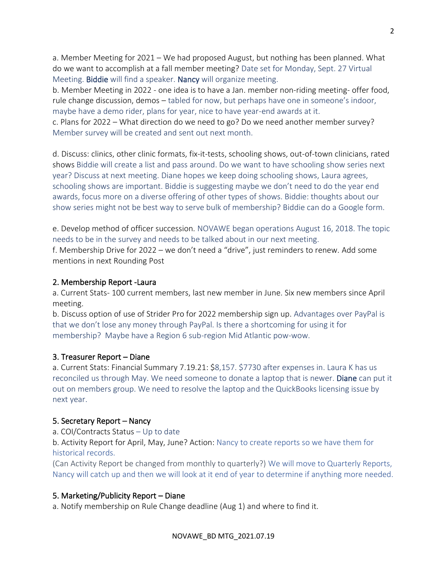a. Member Meeting for 2021 – We had proposed August, but nothing has been planned. What do we want to accomplish at a fall member meeting? Date set for Monday, Sept. 27 Virtual Meeting. Biddie will find a speaker. Nancy will organize meeting.

b. Member Meeting in 2022 - one idea is to have a Jan. member non-riding meeting- offer food, rule change discussion, demos – tabled for now, but perhaps have one in someone's indoor, maybe have a demo rider, plans for year, nice to have year-end awards at it.

c. Plans for 2022 – What direction do we need to go? Do we need another member survey? Member survey will be created and sent out next month.

d. Discuss: clinics, other clinic formats, fix-it-tests, schooling shows, out-of-town clinicians, rated shows Biddie will create a list and pass around. Do we want to have schooling show series next year? Discuss at next meeting. Diane hopes we keep doing schooling shows, Laura agrees, schooling shows are important. Biddie is suggesting maybe we don't need to do the year end awards, focus more on a diverse offering of other types of shows. Biddie: thoughts about our show series might not be best way to serve bulk of membership? Biddie can do a Google form.

e. Develop method of officer succession. NOVAWE began operations August 16, 2018. The topic needs to be in the survey and needs to be talked about in our next meeting.

f. Membership Drive for 2022 – we don't need a "drive", just reminders to renew. Add some mentions in next Rounding Post

#### 2. Membership Report -Laura

a. Current Stats- 100 current members, last new member in June. Six new members since April meeting.

b. Discuss option of use of Strider Pro for 2022 membership sign up. Advantages over PayPal is that we don't lose any money through PayPal. Is there a shortcoming for using it for membership? Maybe have a Region 6 sub-region Mid Atlantic pow-wow.

#### 3. Treasurer Report – Diane

a. Current Stats: Financial Summary 7.19.21: \$8,157. \$7730 after expenses in. Laura K has us reconciled us through May. We need someone to donate a laptop that is newer. Diane can put it out on members group. We need to resolve the laptop and the QuickBooks licensing issue by next year.

#### 5. Secretary Report – Nancy

a. COI/Contracts Status – Up to date

b. Activity Report for April, May, June? Action: Nancy to create reports so we have them for historical records.

(Can Activity Report be changed from monthly to quarterly?) We will move to Quarterly Reports, Nancy will catch up and then we will look at it end of year to determine if anything more needed.

# 5. Marketing/Publicity Report – Diane

a. Notify membership on Rule Change deadline (Aug 1) and where to find it.